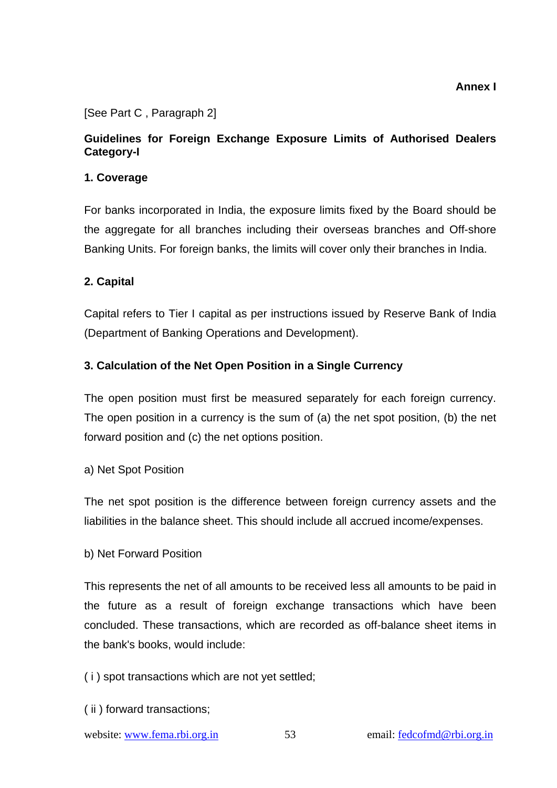**Annex I** 

#### [See Part C , Paragraph 2]

## **Guidelines for Foreign Exchange Exposure Limits of Authorised Dealers Category-I**

#### **1. Coverage**

For banks incorporated in India, the exposure limits fixed by the Board should be the aggregate for all branches including their overseas branches and Off-shore Banking Units. For foreign banks, the limits will cover only their branches in India.

### **2. Capital**

Capital refers to Tier I capital as per instructions issued by Reserve Bank of India (Department of Banking Operations and Development).

### **3. Calculation of the Net Open Position in a Single Currency**

The open position must first be measured separately for each foreign currency. The open position in a currency is the sum of (a) the net spot position, (b) the net forward position and (c) the net options position.

#### a) Net Spot Position

The net spot position is the difference between foreign currency assets and the liabilities in the balance sheet. This should include all accrued income/expenses.

#### b) Net Forward Position

This represents the net of all amounts to be received less all amounts to be paid in the future as a result of foreign exchange transactions which have been concluded. These transactions, which are recorded as off-balance sheet items in the bank's books, would include:

- ( i ) spot transactions which are not yet settled;
- ( ii ) forward transactions;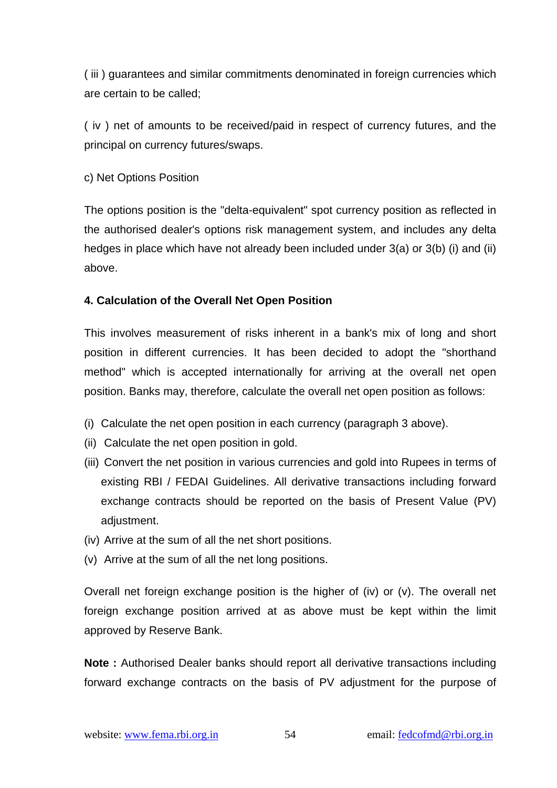( iii ) guarantees and similar commitments denominated in foreign currencies which are certain to be called;

( iv ) net of amounts to be received/paid in respect of currency futures, and the principal on currency futures/swaps.

c) Net Options Position

The options position is the "delta-equivalent" spot currency position as reflected in the authorised dealer's options risk management system, and includes any delta hedges in place which have not already been included under 3(a) or 3(b) (i) and (ii) above.

### **4. Calculation of the Overall Net Open Position**

This involves measurement of risks inherent in a bank's mix of long and short position in different currencies. It has been decided to adopt the "shorthand method" which is accepted internationally for arriving at the overall net open position. Banks may, therefore, calculate the overall net open position as follows:

- (i) Calculate the net open position in each currency (paragraph 3 above).
- (ii) Calculate the net open position in gold.
- (iii) Convert the net position in various currencies and gold into Rupees in terms of existing RBI / FEDAI Guidelines. All derivative transactions including forward exchange contracts should be reported on the basis of Present Value (PV) adiustment.
- (iv) Arrive at the sum of all the net short positions.
- (v) Arrive at the sum of all the net long positions.

Overall net foreign exchange position is the higher of (iv) or (v). The overall net foreign exchange position arrived at as above must be kept within the limit approved by Reserve Bank.

**Note :** Authorised Dealer banks should report all derivative transactions including forward exchange contracts on the basis of PV adjustment for the purpose of